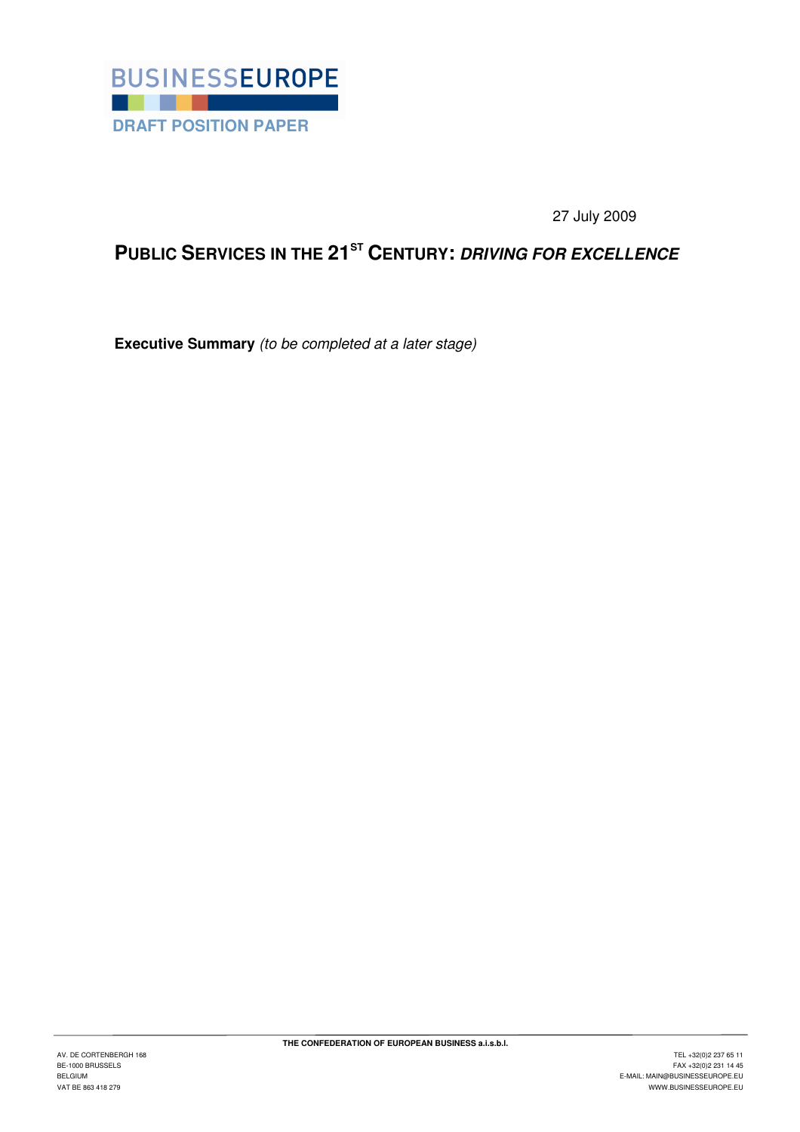

27 July 2009

# **PUBLIC SERVICES IN THE 21ST CENTURY: DRIVING FOR EXCELLENCE**

**Executive Summary** (to be completed at a later stage)

 $\overline{a}$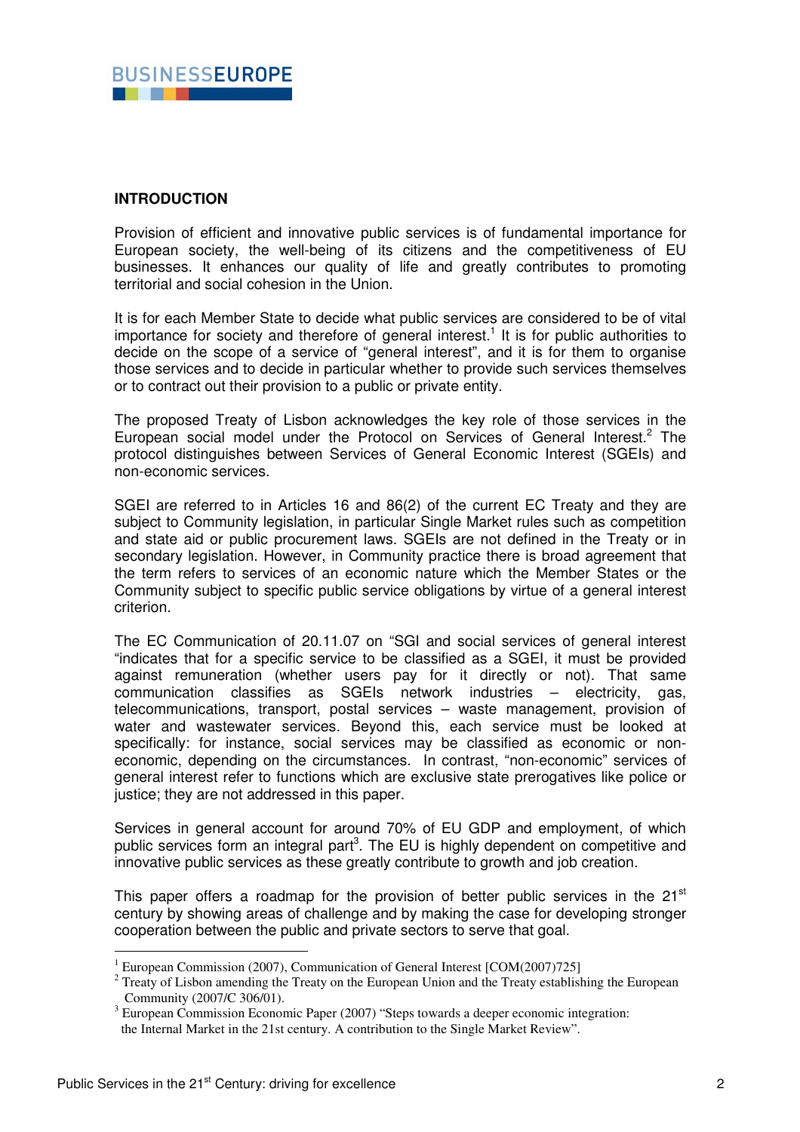

## **INTRODUCTION**

Provision of efficient and innovative public services is of fundamental importance for European society, the well-being of its citizens and the competitiveness of EU businesses. It enhances our quality of life and greatly contributes to promoting territorial and social cohesion in the Union.

It is for each Member State to decide what public services are considered to be of vital importance for society and therefore of general interest.<sup>1</sup> It is for public authorities to decide on the scope of a service of "general interest", and it is for them to organise those services and to decide in particular whether to provide such services themselves or to contract out their provision to a public or private entity.

The proposed Treaty of Lisbon acknowledges the key role of those services in the European social model under the Protocol on Services of General Interest.<sup>2</sup> The protocol distinguishes between Services of General Economic Interest (SGEIs) and non-economic services.

SGEI are referred to in Articles 16 and 86(2) of the current EC Treaty and they are subject to Community legislation, in particular Single Market rules such as competition and state aid or public procurement laws. SGEIs are not defined in the Treaty or in secondary legislation. However, in Community practice there is broad agreement that the term refers to services of an economic nature which the Member States or the Community subject to specific public service obligations by virtue of a general interest criterion.

The EC Communication of 20.11.07 on "SGI and social services of general interest "indicates that for a specific service to be classified as a SGEI, it must be provided against remuneration (whether users pay for it directly or not). That same communication classifies as SGEIs network industries – electricity, gas, telecommunications, transport, postal services – waste management, provision of water and wastewater services. Beyond this, each service must be looked at specifically: for instance, social services may be classified as economic or noneconomic, depending on the circumstances. In contrast, "non-economic" services of general interest refer to functions which are exclusive state prerogatives like police or justice; they are not addressed in this paper.

Services in general account for around 70% of EU GDP and employment, of which public services form an integral part<sup>3</sup>. The EU is highly dependent on competitive and innovative public services as these greatly contribute to growth and job creation.

This paper offers a roadmap for the provision of better public services in the 21<sup>st</sup> century by showing areas of challenge and by making the case for developing stronger cooperation between the public and private sectors to serve that goal.

 $\overline{a}$ 

<sup>&</sup>lt;sup>1</sup> European Commission (2007), Communication of General Interest [COM(2007)725]

 $2$  Treaty of Lisbon amending the Treaty on the European Union and the Treaty establishing the European Community (2007/C 306/01).

<sup>&</sup>lt;sup>3</sup> European Commission Economic Paper (2007) "Steps towards a deeper economic integration: the Internal Market in the 21st century. A contribution to the Single Market Review".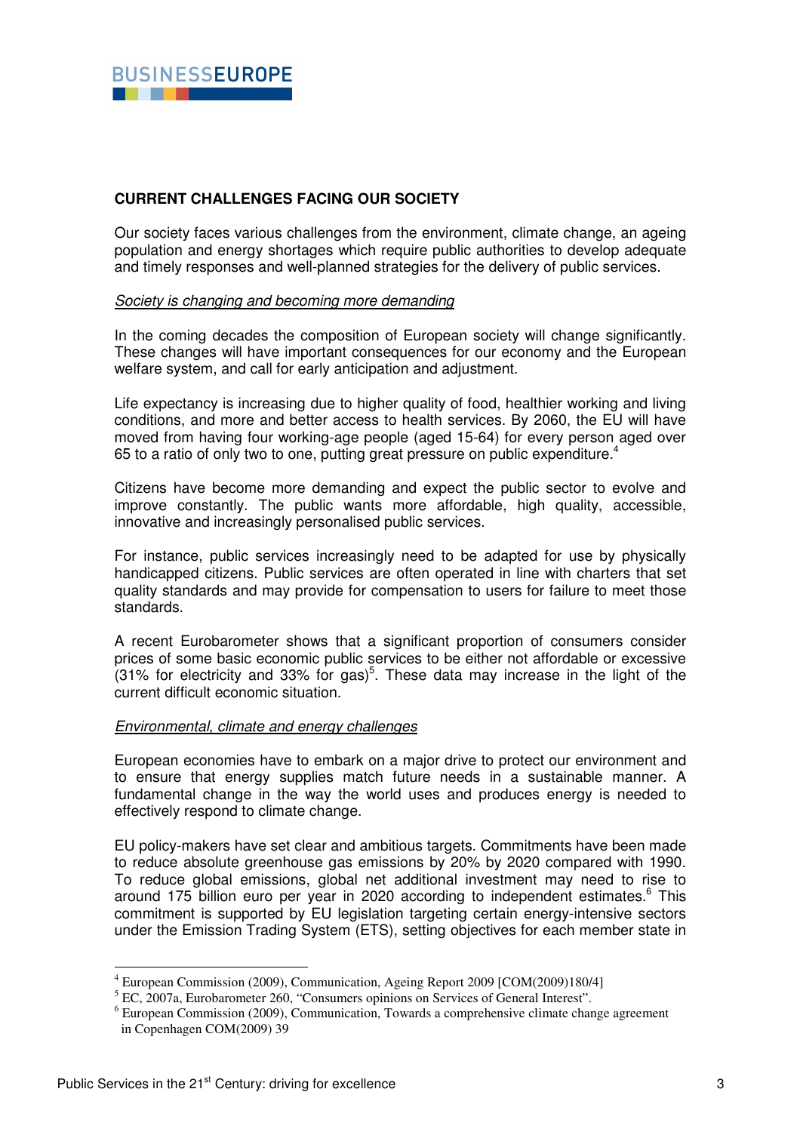

# **CURRENT CHALLENGES FACING OUR SOCIETY**

Our society faces various challenges from the environment, climate change, an ageing population and energy shortages which require public authorities to develop adequate and timely responses and well-planned strategies for the delivery of public services.

## Society is changing and becoming more demanding

In the coming decades the composition of European society will change significantly. These changes will have important consequences for our economy and the European welfare system, and call for early anticipation and adjustment.

Life expectancy is increasing due to higher quality of food, healthier working and living conditions, and more and better access to health services. By 2060, the EU will have moved from having four working-age people (aged 15-64) for every person aged over 65 to a ratio of only two to one, putting great pressure on public expenditure.<sup>4</sup>

Citizens have become more demanding and expect the public sector to evolve and improve constantly. The public wants more affordable, high quality, accessible, innovative and increasingly personalised public services.

For instance, public services increasingly need to be adapted for use by physically handicapped citizens. Public services are often operated in line with charters that set quality standards and may provide for compensation to users for failure to meet those standards.

A recent Eurobarometer shows that a significant proportion of consumers consider prices of some basic economic public services to be either not affordable or excessive  $(31\%$  for electricity and 33% for gas)<sup>5</sup>. These data may increase in the light of the current difficult economic situation.

#### Environmental, climate and energy challenges

European economies have to embark on a major drive to protect our environment and to ensure that energy supplies match future needs in a sustainable manner. A fundamental change in the way the world uses and produces energy is needed to effectively respond to climate change.

EU policy-makers have set clear and ambitious targets. Commitments have been made to reduce absolute greenhouse gas emissions by 20% by 2020 compared with 1990. To reduce global emissions, global net additional investment may need to rise to around 175 billion euro per year in 2020 according to independent estimates.<sup>6</sup> This commitment is supported by EU legislation targeting certain energy-intensive sectors under the Emission Trading System (ETS), setting objectives for each member state in

 4 European Commission (2009), Communication, Ageing Report 2009 [COM(2009)180/4]

<sup>&</sup>lt;sup>5</sup> EC, 2007a, Eurobarometer 260, "Consumers opinions on Services of General Interest".

<sup>&</sup>lt;sup>6</sup> European Commission (2009), Communication, Towards a comprehensive climate change agreement in Copenhagen COM(2009) 39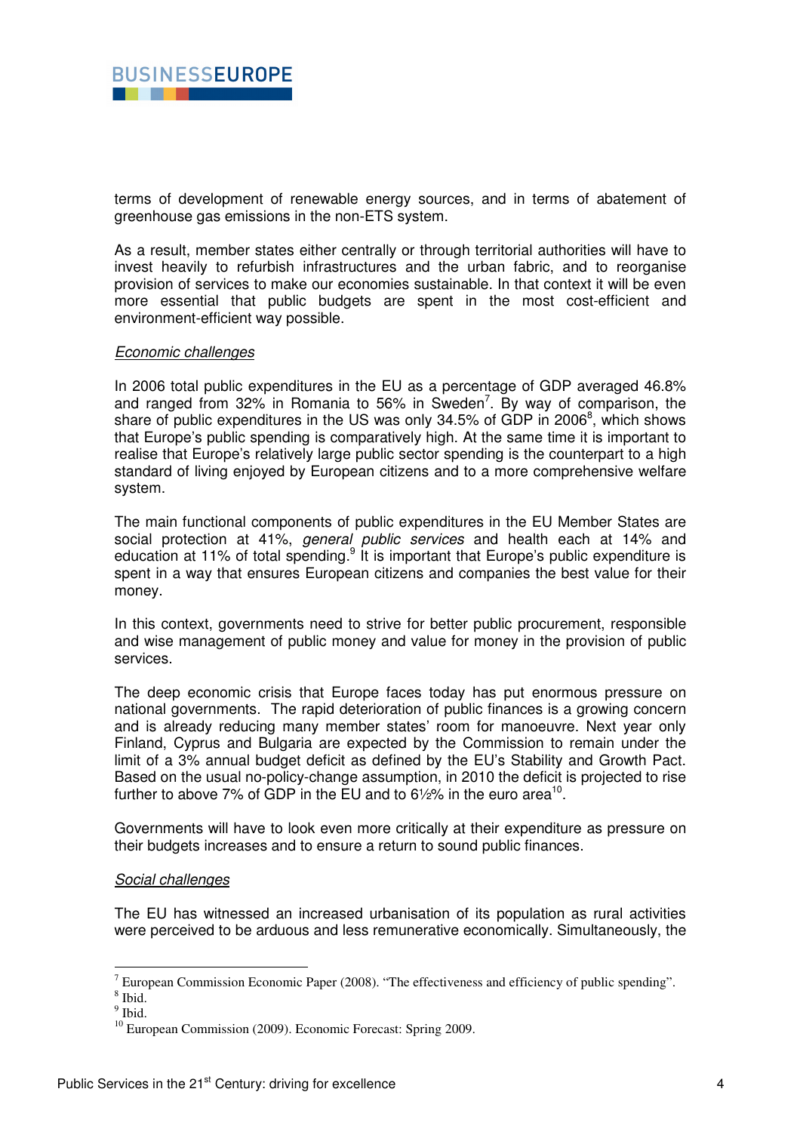

terms of development of renewable energy sources, and in terms of abatement of greenhouse gas emissions in the non-ETS system.

As a result, member states either centrally or through territorial authorities will have to invest heavily to refurbish infrastructures and the urban fabric, and to reorganise provision of services to make our economies sustainable. In that context it will be even more essential that public budgets are spent in the most cost-efficient and environment-efficient way possible.

## Economic challenges

In 2006 total public expenditures in the EU as a percentage of GDP averaged 46.8% and ranged from 32% in Romania to 56% in Sweden<sup>7</sup>. By way of comparison, the share of public expenditures in the US was only 34.5% of GDP in 2006 $^8$ , which shows that Europe's public spending is comparatively high. At the same time it is important to realise that Europe's relatively large public sector spending is the counterpart to a high standard of living enjoyed by European citizens and to a more comprehensive welfare system.

The main functional components of public expenditures in the EU Member States are social protection at 41%, *general public services* and health each at 14% and education at 11% of total spending. $9$  It is important that Europe's public expenditure is spent in a way that ensures European citizens and companies the best value for their money.

In this context, governments need to strive for better public procurement, responsible and wise management of public money and value for money in the provision of public services.

The deep economic crisis that Europe faces today has put enormous pressure on national governments. The rapid deterioration of public finances is a growing concern and is already reducing many member states' room for manoeuvre. Next year only Finland, Cyprus and Bulgaria are expected by the Commission to remain under the limit of a 3% annual budget deficit as defined by the EU's Stability and Growth Pact. Based on the usual no-policy-change assumption, in 2010 the deficit is projected to rise further to above 7% of GDP in the EU and to 6½% in the euro area<sup>10</sup>.

Governments will have to look even more critically at their expenditure as pressure on their budgets increases and to ensure a return to sound public finances.

#### Social challenges

The EU has witnessed an increased urbanisation of its population as rural activities were perceived to be arduous and less remunerative economically. Simultaneously, the

<sup>&</sup>lt;sup>7</sup> European Commission Economic Paper (2008). "The effectiveness and efficiency of public spending".

<sup>8</sup> Ibid.

<sup>&</sup>lt;sup>9</sup> Ibid.

<sup>&</sup>lt;sup>10</sup> European Commission (2009). Economic Forecast: Spring 2009.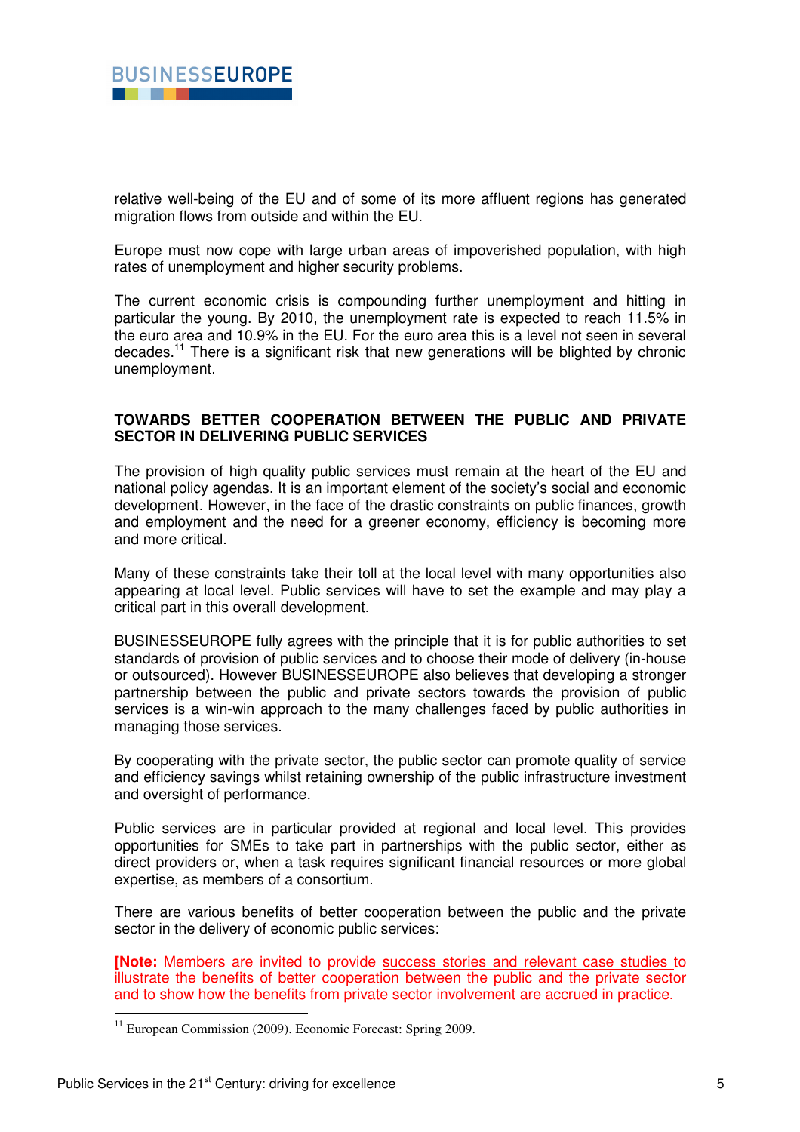

relative well-being of the EU and of some of its more affluent regions has generated migration flows from outside and within the EU.

Europe must now cope with large urban areas of impoverished population, with high rates of unemployment and higher security problems.

The current economic crisis is compounding further unemployment and hitting in particular the young. By 2010, the unemployment rate is expected to reach 11.5% in the euro area and 10.9% in the EU. For the euro area this is a level not seen in several decades.<sup>11</sup> There is a significant risk that new generations will be blighted by chronic unemployment.

# **TOWARDS BETTER COOPERATION BETWEEN THE PUBLIC AND PRIVATE SECTOR IN DELIVERING PUBLIC SERVICES**

The provision of high quality public services must remain at the heart of the EU and national policy agendas. It is an important element of the society's social and economic development. However, in the face of the drastic constraints on public finances, growth and employment and the need for a greener economy, efficiency is becoming more and more critical.

Many of these constraints take their toll at the local level with many opportunities also appearing at local level. Public services will have to set the example and may play a critical part in this overall development.

BUSINESSEUROPE fully agrees with the principle that it is for public authorities to set standards of provision of public services and to choose their mode of delivery (in-house or outsourced). However BUSINESSEUROPE also believes that developing a stronger partnership between the public and private sectors towards the provision of public services is a win-win approach to the many challenges faced by public authorities in managing those services.

By cooperating with the private sector, the public sector can promote quality of service and efficiency savings whilst retaining ownership of the public infrastructure investment and oversight of performance.

Public services are in particular provided at regional and local level. This provides opportunities for SMEs to take part in partnerships with the public sector, either as direct providers or, when a task requires significant financial resources or more global expertise, as members of a consortium.

There are various benefits of better cooperation between the public and the private sector in the delivery of economic public services:

**[Note:** Members are invited to provide success stories and relevant case studies to illustrate the benefits of better cooperation between the public and the private sector and to show how the benefits from private sector involvement are accrued in practice.

 $\overline{a}$ 

<sup>&</sup>lt;sup>11</sup> European Commission (2009). Economic Forecast: Spring 2009.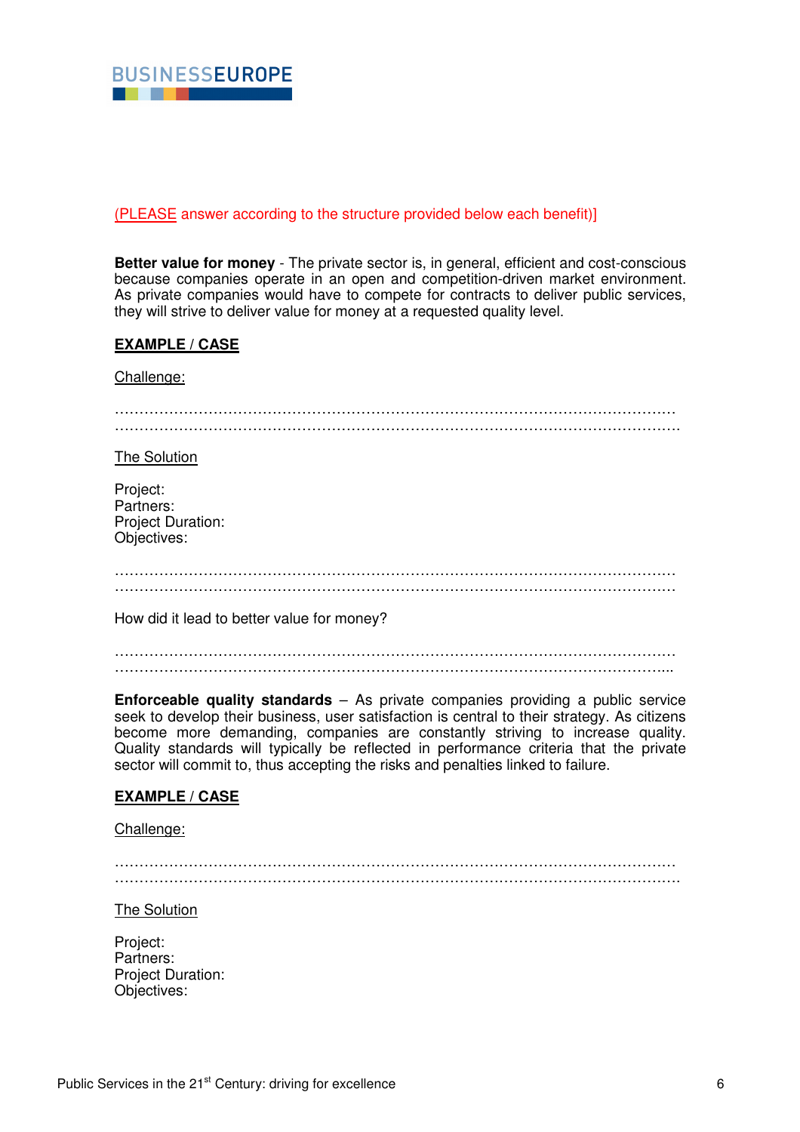

## (PLEASE answer according to the structure provided below each benefit)]

**Better value for money** - The private sector is, in general, efficient and cost-conscious because companies operate in an open and competition-driven market environment. As private companies would have to compete for contracts to deliver public services, they will strive to deliver value for money at a requested quality level.

## **EXAMPLE / CASE**

Challenge:

| The Solution                                                     |
|------------------------------------------------------------------|
| Project:<br>Partners:<br><b>Project Duration:</b><br>Objectives: |
|                                                                  |
| How did it lead to better value for money?                       |
|                                                                  |

**Enforceable quality standards** – As private companies providing a public service seek to develop their business, user satisfaction is central to their strategy. As citizens become more demanding, companies are constantly striving to increase quality. Quality standards will typically be reflected in performance criteria that the private sector will commit to, thus accepting the risks and penalties linked to failure.

# **EXAMPLE / CASE**

Challenge:

…………………………………………………………………………………………………… …………………………………………………………………………………………………….

The Solution

Project: Partners: Project Duration: Objectives: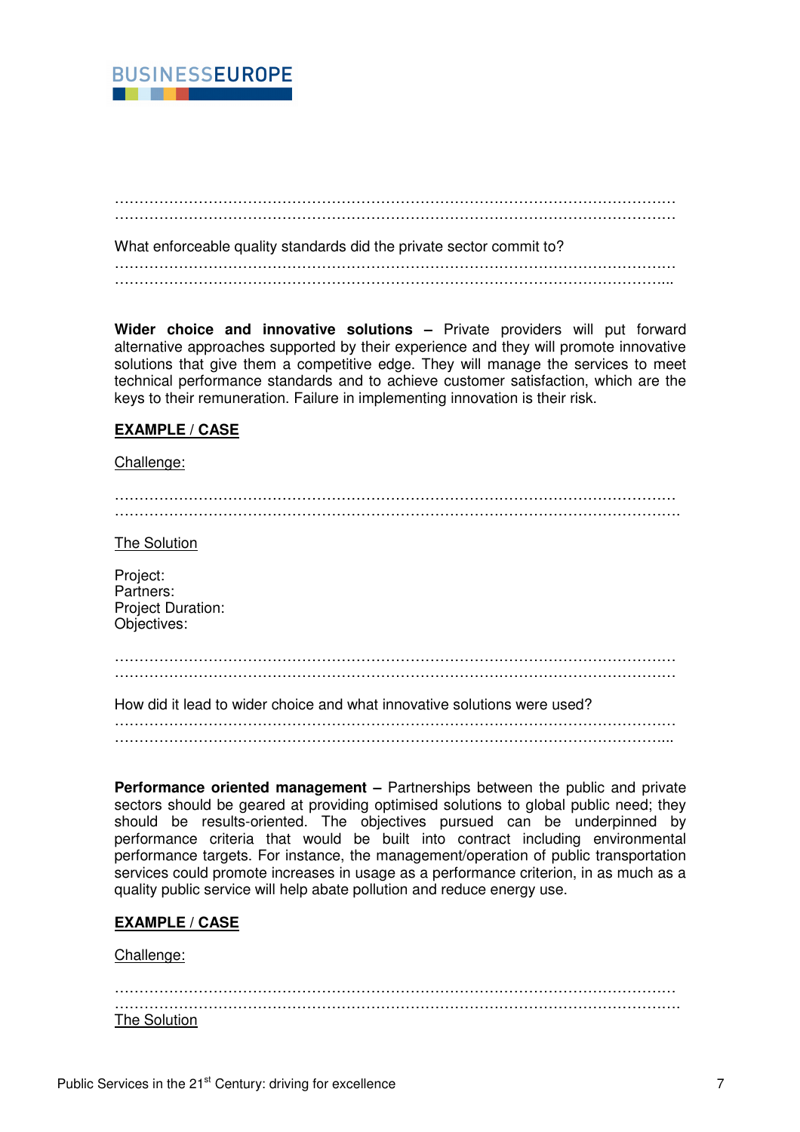

…………………………………………………………………………………………………… …………………………………………………………………………………………………… What enforceable quality standards did the private sector commit to? …………………………………………………………………………………………………… …………………………………………………………………………………………………...

**Wider choice and innovative solutions –** Private providers will put forward alternative approaches supported by their experience and they will promote innovative solutions that give them a competitive edge. They will manage the services to meet technical performance standards and to achieve customer satisfaction, which are the keys to their remuneration. Failure in implementing innovation is their risk.

## **EXAMPLE / CASE**

#### Challenge:

…………………………………………………………………………………………………… …………………………………………………………………………………………………….

The Solution

Project: Partners: Project Duration: Objectives:

……………………………………………………………………………………………………

How did it lead to wider choice and what innovative solutions were used?

…………………………………………………………………………………………………… …………………………………………………………………………………………………...

**Performance oriented management –** Partnerships between the public and private sectors should be geared at providing optimised solutions to global public need; they should be results-oriented. The objectives pursued can be underpinned by performance criteria that would be built into contract including environmental performance targets. For instance, the management/operation of public transportation services could promote increases in usage as a performance criterion, in as much as a quality public service will help abate pollution and reduce energy use.

# **EXAMPLE / CASE**

#### Challenge:

…………………………………………………………………………………………………… ……………………………………………………………………………………………………. The Solution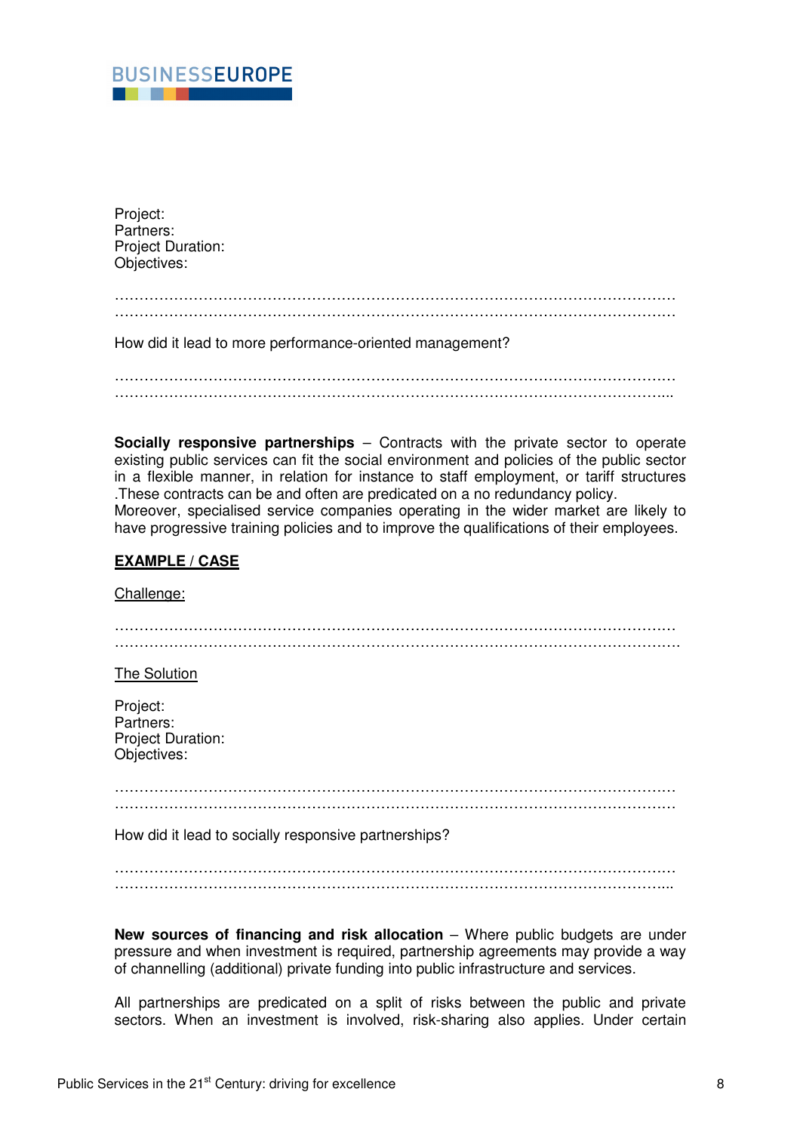

Project: Partners: Project Duration: Objectives:

## …………………………………………………………………………………………………… ……………………………………………………………………………………………………

How did it lead to more performance-oriented management?

…………………………………………………………………………………………………… …………………………………………………………………………………………………...

**Socially responsive partnerships** – Contracts with the private sector to operate existing public services can fit the social environment and policies of the public sector in a flexible manner, in relation for instance to staff employment, or tariff structures .These contracts can be and often are predicated on a no redundancy policy. Moreover, specialised service companies operating in the wider market are likely to have progressive training policies and to improve the qualifications of their employees.

# **EXAMPLE / CASE**

Challenge: …………………………………………………………………………………………………… ……………………………………………………………………………………………………. The Solution Project: Partners: Project Duration: Objectives: …………………………………………………………………………………………………… …………………………………………………………………………………………………… How did it lead to socially responsive partnerships? …………………………………………………………………………………………………… …………………………………………………………………………………………………...

**New sources of financing and risk allocation** – Where public budgets are under pressure and when investment is required, partnership agreements may provide a way of channelling (additional) private funding into public infrastructure and services.

All partnerships are predicated on a split of risks between the public and private sectors. When an investment is involved, risk-sharing also applies. Under certain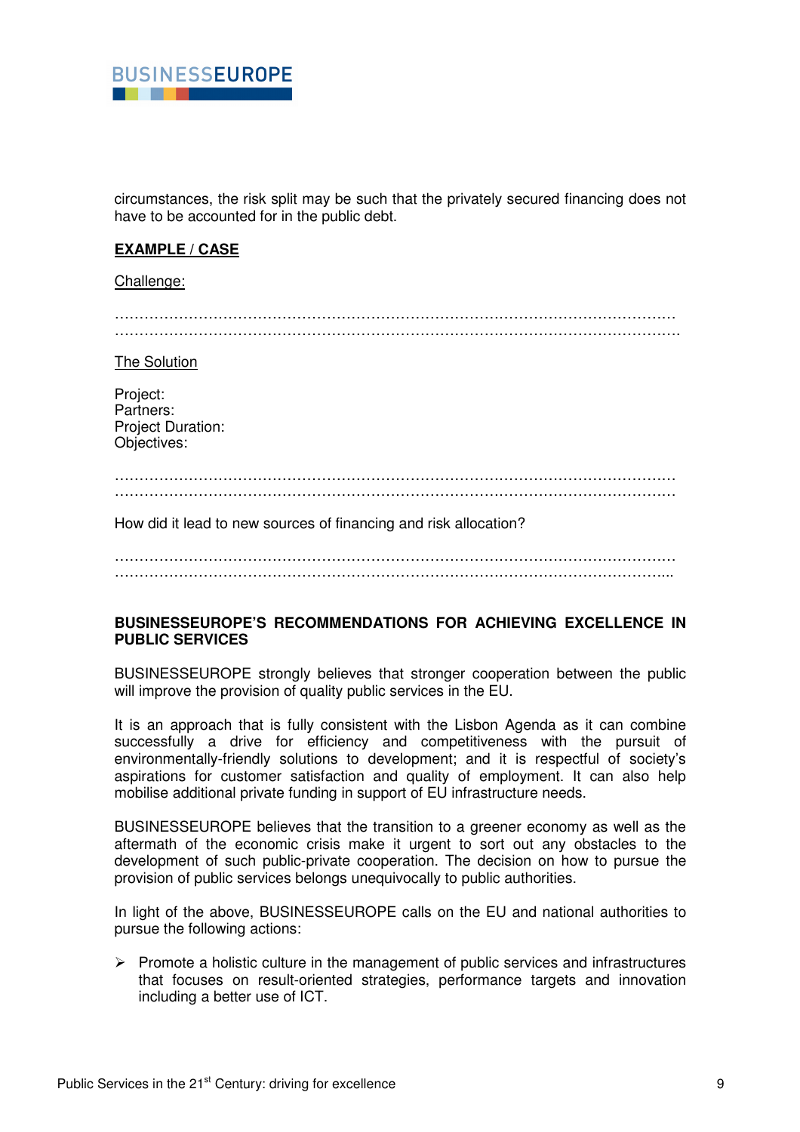

circumstances, the risk split may be such that the privately secured financing does not have to be accounted for in the public debt.

# **EXAMPLE / CASE**

#### Challenge:

…………………………………………………………………………………………………… …………………………………………………………………………………………………….

The Solution

Project: Partners: Project Duration: Objectives:

…………………………………………………………………………………………………… ……………………………………………………………………………………………………

How did it lead to new sources of financing and risk allocation?

……………………………………………………………………………………………………  $\mathcal{L}^{(n)}$ 

# **BUSINESSEUROPE'S RECOMMENDATIONS FOR ACHIEVING EXCELLENCE IN PUBLIC SERVICES**

BUSINESSEUROPE strongly believes that stronger cooperation between the public will improve the provision of quality public services in the EU.

It is an approach that is fully consistent with the Lisbon Agenda as it can combine successfully a drive for efficiency and competitiveness with the pursuit of environmentally-friendly solutions to development; and it is respectful of society's aspirations for customer satisfaction and quality of employment. It can also help mobilise additional private funding in support of EU infrastructure needs.

BUSINESSEUROPE believes that the transition to a greener economy as well as the aftermath of the economic crisis make it urgent to sort out any obstacles to the development of such public-private cooperation. The decision on how to pursue the provision of public services belongs unequivocally to public authorities.

In light of the above, BUSINESSEUROPE calls on the EU and national authorities to pursue the following actions:

 $\triangleright$  Promote a holistic culture in the management of public services and infrastructures that focuses on result-oriented strategies, performance targets and innovation including a better use of ICT.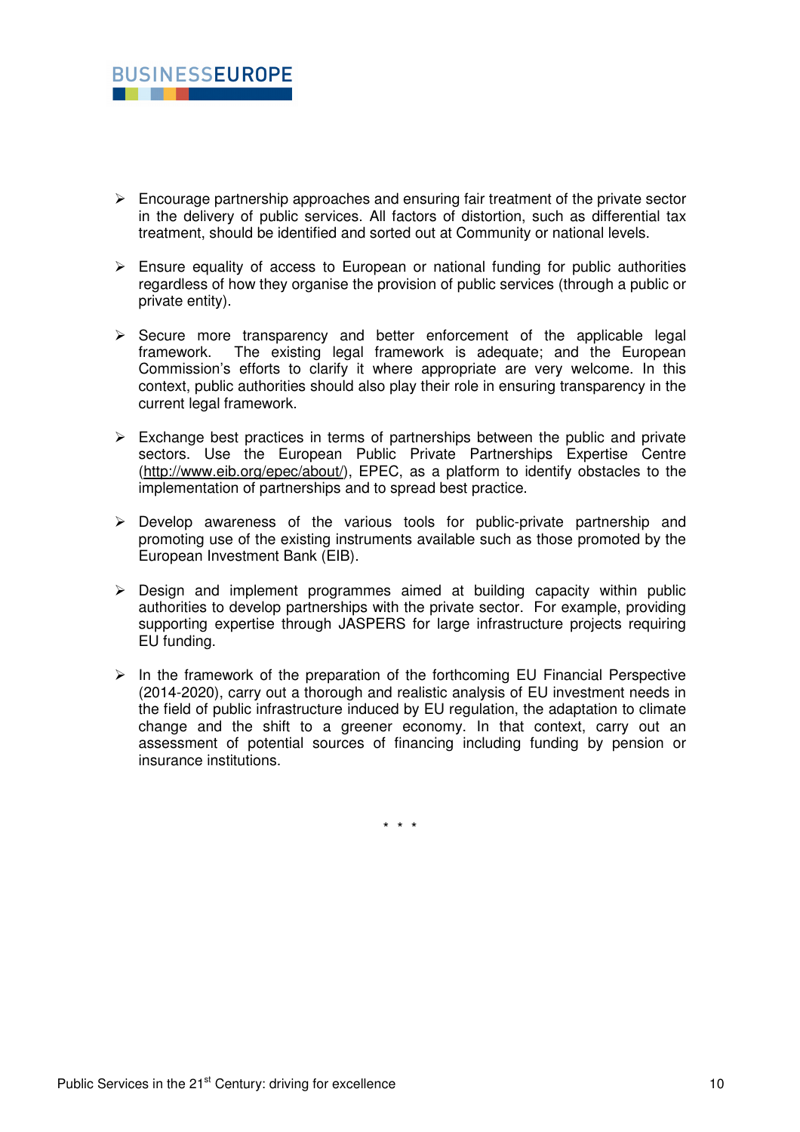

- $\triangleright$  Encourage partnership approaches and ensuring fair treatment of the private sector in the delivery of public services. All factors of distortion, such as differential tax treatment, should be identified and sorted out at Community or national levels.
- $\triangleright$  Ensure equality of access to European or national funding for public authorities regardless of how they organise the provision of public services (through a public or private entity).
- $\triangleright$  Secure more transparency and better enforcement of the applicable legal framework. The existing legal framework is adequate; and the European Commission's efforts to clarify it where appropriate are very welcome. In this context, public authorities should also play their role in ensuring transparency in the current legal framework.
- $\triangleright$  Exchange best practices in terms of partnerships between the public and private sectors. Use the European Public Private Partnerships Expertise Centre (http://www.eib.org/epec/about/), EPEC, as a platform to identify obstacles to the implementation of partnerships and to spread best practice.
- $\triangleright$  Develop awareness of the various tools for public-private partnership and promoting use of the existing instruments available such as those promoted by the European Investment Bank (EIB).
- $\triangleright$  Design and implement programmes aimed at building capacity within public authorities to develop partnerships with the private sector. For example, providing supporting expertise through JASPERS for large infrastructure projects requiring EU funding.
- $\triangleright$  In the framework of the preparation of the forthcoming EU Financial Perspective (2014-2020), carry out a thorough and realistic analysis of EU investment needs in the field of public infrastructure induced by EU regulation, the adaptation to climate change and the shift to a greener economy. In that context, carry out an assessment of potential sources of financing including funding by pension or insurance institutions.

\* \* \*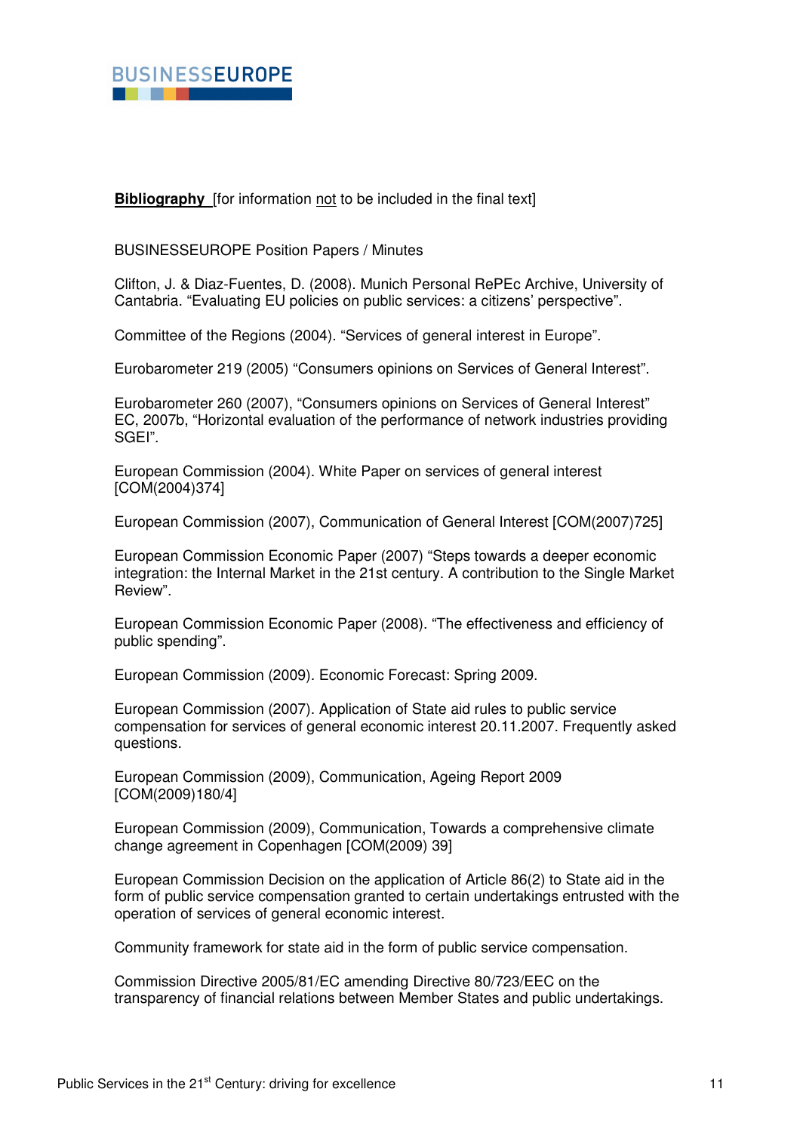

**Bibliography** [for information not to be included in the final text]

BUSINESSEUROPE Position Papers / Minutes

Clifton, J. & Diaz-Fuentes, D. (2008). Munich Personal RePEc Archive, University of Cantabria. "Evaluating EU policies on public services: a citizens' perspective".

Committee of the Regions (2004). "Services of general interest in Europe".

Eurobarometer 219 (2005) "Consumers opinions on Services of General Interest".

Eurobarometer 260 (2007), "Consumers opinions on Services of General Interest" EC, 2007b, "Horizontal evaluation of the performance of network industries providing SGEI".

European Commission (2004). White Paper on services of general interest [COM(2004)374]

European Commission (2007), Communication of General Interest [COM(2007)725]

European Commission Economic Paper (2007) "Steps towards a deeper economic integration: the Internal Market in the 21st century. A contribution to the Single Market Review".

European Commission Economic Paper (2008). "The effectiveness and efficiency of public spending".

European Commission (2009). Economic Forecast: Spring 2009.

European Commission (2007). Application of State aid rules to public service compensation for services of general economic interest 20.11.2007. Frequently asked questions.

European Commission (2009), Communication, Ageing Report 2009 [COM(2009)180/4]

European Commission (2009), Communication, Towards a comprehensive climate change agreement in Copenhagen [COM(2009) 39]

European Commission Decision on the application of Article 86(2) to State aid in the form of public service compensation granted to certain undertakings entrusted with the operation of services of general economic interest.

Community framework for state aid in the form of public service compensation.

Commission Directive 2005/81/EC amending Directive 80/723/EEC on the transparency of financial relations between Member States and public undertakings.